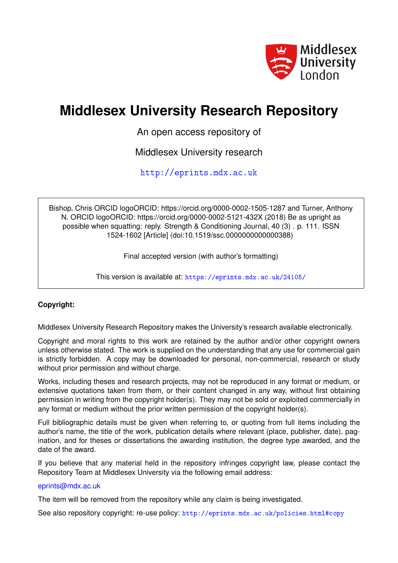

# **Middlesex University Research Repository**

An open access repository of

Middlesex University research

<http://eprints.mdx.ac.uk>

Bishop, Chris ORCID logoORCID: https://orcid.org/0000-0002-1505-1287 and Turner, Anthony N. ORCID logoORCID: https://orcid.org/0000-0002-5121-432X (2018) Be as upright as possible when squatting: reply. Strength & Conditioning Journal, 40 (3) . p. 111. ISSN 1524-1602 [Article] (doi:10.1519/ssc.0000000000000388)

Final accepted version (with author's formatting)

This version is available at: <https://eprints.mdx.ac.uk/24105/>

# **Copyright:**

Middlesex University Research Repository makes the University's research available electronically.

Copyright and moral rights to this work are retained by the author and/or other copyright owners unless otherwise stated. The work is supplied on the understanding that any use for commercial gain is strictly forbidden. A copy may be downloaded for personal, non-commercial, research or study without prior permission and without charge.

Works, including theses and research projects, may not be reproduced in any format or medium, or extensive quotations taken from them, or their content changed in any way, without first obtaining permission in writing from the copyright holder(s). They may not be sold or exploited commercially in any format or medium without the prior written permission of the copyright holder(s).

Full bibliographic details must be given when referring to, or quoting from full items including the author's name, the title of the work, publication details where relevant (place, publisher, date), pagination, and for theses or dissertations the awarding institution, the degree type awarded, and the date of the award.

If you believe that any material held in the repository infringes copyright law, please contact the Repository Team at Middlesex University via the following email address:

#### [eprints@mdx.ac.uk](mailto:eprints@mdx.ac.uk)

The item will be removed from the repository while any claim is being investigated.

See also repository copyright: re-use policy: <http://eprints.mdx.ac.uk/policies.html#copy>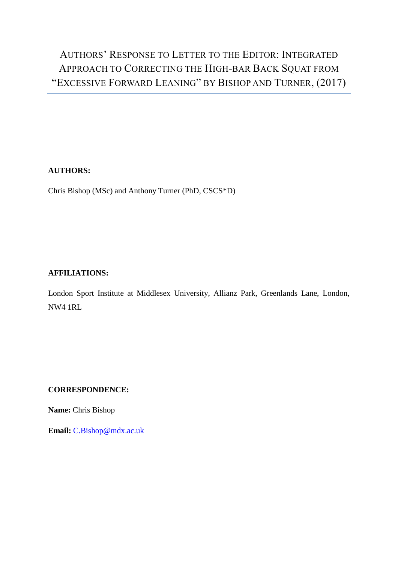# AUTHORS' RESPONSE TO LETTER TO THE EDITOR: INTEGRATED APPROACH TO CORRECTING THE HIGH-BAR BACK SQUAT FROM "EXCESSIVE FORWARD LEANING" BY BISHOP AND TURNER, (2017)

# **AUTHORS:**

Chris Bishop (MSc) and Anthony Turner (PhD, CSCS\*D)

### **AFFILIATIONS:**

London Sport Institute at Middlesex University, Allianz Park, Greenlands Lane, London, NW4 1RL

#### **CORRESPONDENCE:**

**Name:** Chris Bishop

**Email:** [C.Bishop@mdx.ac.uk](mailto:C.Bishop@mdx.ac.uk)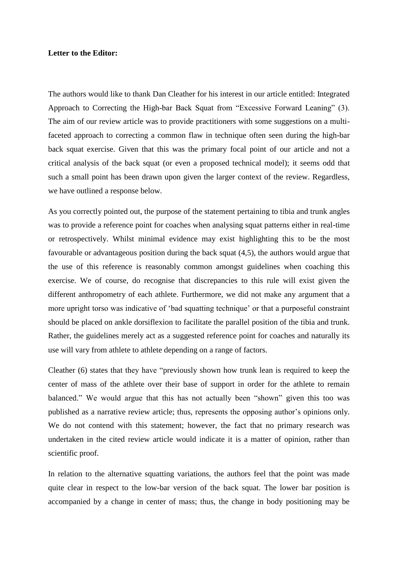#### **Letter to the Editor:**

The authors would like to thank Dan Cleather for his interest in our article entitled: Integrated Approach to Correcting the High-bar Back Squat from "Excessive Forward Leaning" (3). The aim of our review article was to provide practitioners with some suggestions on a multifaceted approach to correcting a common flaw in technique often seen during the high-bar back squat exercise. Given that this was the primary focal point of our article and not a critical analysis of the back squat (or even a proposed technical model); it seems odd that such a small point has been drawn upon given the larger context of the review. Regardless, we have outlined a response below.

As you correctly pointed out, the purpose of the statement pertaining to tibia and trunk angles was to provide a reference point for coaches when analysing squat patterns either in real-time or retrospectively. Whilst minimal evidence may exist highlighting this to be the most favourable or advantageous position during the back squat (4,5), the authors would argue that the use of this reference is reasonably common amongst guidelines when coaching this exercise. We of course, do recognise that discrepancies to this rule will exist given the different anthropometry of each athlete. Furthermore, we did not make any argument that a more upright torso was indicative of 'bad squatting technique' or that a purposeful constraint should be placed on ankle dorsiflexion to facilitate the parallel position of the tibia and trunk. Rather, the guidelines merely act as a suggested reference point for coaches and naturally its use will vary from athlete to athlete depending on a range of factors.

Cleather (6) states that they have "previously shown how trunk lean is required to keep the center of mass of the athlete over their base of support in order for the athlete to remain balanced." We would argue that this has not actually been "shown" given this too was published as a narrative review article; thus, represents the opposing author's opinions only. We do not contend with this statement; however, the fact that no primary research was undertaken in the cited review article would indicate it is a matter of opinion, rather than scientific proof.

In relation to the alternative squatting variations, the authors feel that the point was made quite clear in respect to the low-bar version of the back squat. The lower bar position is accompanied by a change in center of mass; thus, the change in body positioning may be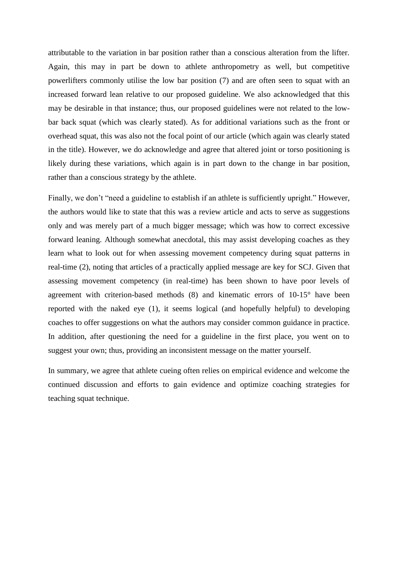attributable to the variation in bar position rather than a conscious alteration from the lifter. Again, this may in part be down to athlete anthropometry as well, but competitive powerlifters commonly utilise the low bar position (7) and are often seen to squat with an increased forward lean relative to our proposed guideline. We also acknowledged that this may be desirable in that instance; thus, our proposed guidelines were not related to the lowbar back squat (which was clearly stated). As for additional variations such as the front or overhead squat, this was also not the focal point of our article (which again was clearly stated in the title). However, we do acknowledge and agree that altered joint or torso positioning is likely during these variations, which again is in part down to the change in bar position, rather than a conscious strategy by the athlete.

Finally, we don't "need a guideline to establish if an athlete is sufficiently upright." However, the authors would like to state that this was a review article and acts to serve as suggestions only and was merely part of a much bigger message; which was how to correct excessive forward leaning. Although somewhat anecdotal, this may assist developing coaches as they learn what to look out for when assessing movement competency during squat patterns in real-time (2), noting that articles of a practically applied message are key for SCJ. Given that assessing movement competency (in real-time) has been shown to have poor levels of agreement with criterion-based methods (8) and kinematic errors of 10-15° have been reported with the naked eye (1), it seems logical (and hopefully helpful) to developing coaches to offer suggestions on what the authors may consider common guidance in practice. In addition, after questioning the need for a guideline in the first place, you went on to suggest your own; thus, providing an inconsistent message on the matter yourself.

In summary, we agree that athlete cueing often relies on empirical evidence and welcome the continued discussion and efforts to gain evidence and optimize coaching strategies for teaching squat technique.